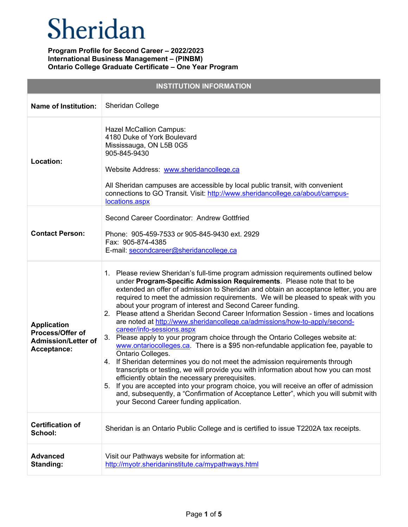| <b>INSTITUTION INFORMATION</b>                                                      |                                                                                                                                                                                                                                                                                                                                                                                                                                                                                                                                                                                                                                                                                                                                                                                                                                                                                                                                                                                                                                                                                                                                                                                                                                                                  |
|-------------------------------------------------------------------------------------|------------------------------------------------------------------------------------------------------------------------------------------------------------------------------------------------------------------------------------------------------------------------------------------------------------------------------------------------------------------------------------------------------------------------------------------------------------------------------------------------------------------------------------------------------------------------------------------------------------------------------------------------------------------------------------------------------------------------------------------------------------------------------------------------------------------------------------------------------------------------------------------------------------------------------------------------------------------------------------------------------------------------------------------------------------------------------------------------------------------------------------------------------------------------------------------------------------------------------------------------------------------|
| <b>Name of Institution:</b>                                                         | Sheridan College                                                                                                                                                                                                                                                                                                                                                                                                                                                                                                                                                                                                                                                                                                                                                                                                                                                                                                                                                                                                                                                                                                                                                                                                                                                 |
| Location:                                                                           | <b>Hazel McCallion Campus:</b><br>4180 Duke of York Boulevard<br>Mississauga, ON L5B 0G5<br>905-845-9430<br>Website Address: www.sheridancollege.ca<br>All Sheridan campuses are accessible by local public transit, with convenient<br>connections to GO Transit. Visit: http://www.sheridancollege.ca/about/campus-<br>locations.aspx                                                                                                                                                                                                                                                                                                                                                                                                                                                                                                                                                                                                                                                                                                                                                                                                                                                                                                                          |
| <b>Contact Person:</b>                                                              | Second Career Coordinator: Andrew Gottfried<br>Phone: 905-459-7533 or 905-845-9430 ext. 2929<br>Fax: 905-874-4385<br>E-mail: secondcareer@sheridancollege.ca                                                                                                                                                                                                                                                                                                                                                                                                                                                                                                                                                                                                                                                                                                                                                                                                                                                                                                                                                                                                                                                                                                     |
| <b>Application</b><br>Process/Offer of<br><b>Admission/Letter of</b><br>Acceptance: | 1. Please review Sheridan's full-time program admission requirements outlined below<br>under Program-Specific Admission Requirements. Please note that to be<br>extended an offer of admission to Sheridan and obtain an acceptance letter, you are<br>required to meet the admission requirements. We will be pleased to speak with you<br>about your program of interest and Second Career funding.<br>2. Please attend a Sheridan Second Career Information Session - times and locations<br>are noted at http://www.sheridancollege.ca/admissions/how-to-apply/second-<br>career/info-sessions.aspx<br>3. Please apply to your program choice through the Ontario Colleges website at:<br>www.ontariocolleges.ca. There is a \$95 non-refundable application fee, payable to<br>Ontario Colleges.<br>4. If Sheridan determines you do not meet the admission requirements through<br>transcripts or testing, we will provide you with information about how you can most<br>efficiently obtain the necessary prerequisites.<br>If you are accepted into your program choice, you will receive an offer of admission<br>5.<br>and, subsequently, a "Confirmation of Acceptance Letter", which you will submit with<br>your Second Career funding application. |
| <b>Certification of</b><br>School:                                                  | Sheridan is an Ontario Public College and is certified to issue T2202A tax receipts.                                                                                                                                                                                                                                                                                                                                                                                                                                                                                                                                                                                                                                                                                                                                                                                                                                                                                                                                                                                                                                                                                                                                                                             |
| <b>Advanced</b><br>Standing:                                                        | Visit our Pathways website for information at:<br>http://myotr.sheridaninstitute.ca/mypathways.html                                                                                                                                                                                                                                                                                                                                                                                                                                                                                                                                                                                                                                                                                                                                                                                                                                                                                                                                                                                                                                                                                                                                                              |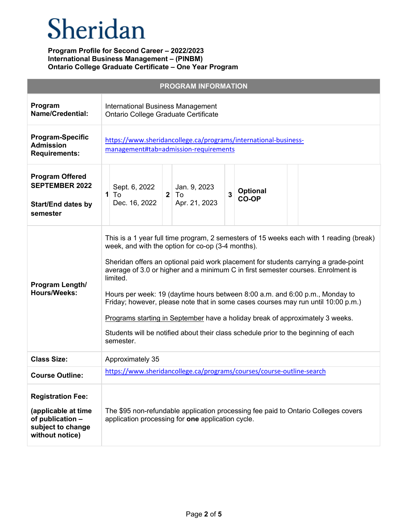| <b>PROGRAM INFORMATION</b>                                                                                  |                                                                                                                                                                                                                                                                                                                                                                                                                                                                                                                                                                                                                                                                                               |
|-------------------------------------------------------------------------------------------------------------|-----------------------------------------------------------------------------------------------------------------------------------------------------------------------------------------------------------------------------------------------------------------------------------------------------------------------------------------------------------------------------------------------------------------------------------------------------------------------------------------------------------------------------------------------------------------------------------------------------------------------------------------------------------------------------------------------|
| Program<br><b>Name/Credential:</b>                                                                          | International Business Management<br>Ontario College Graduate Certificate                                                                                                                                                                                                                                                                                                                                                                                                                                                                                                                                                                                                                     |
| <b>Program-Specific</b><br><b>Admission</b><br><b>Requirements:</b>                                         | https://www.sheridancollege.ca/programs/international-business-<br>management#tab=admission-requirements                                                                                                                                                                                                                                                                                                                                                                                                                                                                                                                                                                                      |
| <b>Program Offered</b><br><b>SEPTEMBER 2022</b><br><b>Start/End dates by</b><br>semester                    | Jan. 9, 2023<br>Sept. 6, 2022<br>Optional<br>$\overline{\mathbf{3}}$<br>$\mathbf{1}$<br>To<br>$\overline{2}$<br>To<br>CO-OP<br>Dec. 16, 2022<br>Apr. 21, 2023                                                                                                                                                                                                                                                                                                                                                                                                                                                                                                                                 |
| Program Length/<br><b>Hours/Weeks:</b>                                                                      | This is a 1 year full time program, 2 semesters of 15 weeks each with 1 reading (break)<br>week, and with the option for co-op (3-4 months).<br>Sheridan offers an optional paid work placement for students carrying a grade-point<br>average of 3.0 or higher and a minimum C in first semester courses. Enrolment is<br>limited.<br>Hours per week: 19 (daytime hours between 8:00 a.m. and 6:00 p.m., Monday to<br>Friday; however, please note that in some cases courses may run until 10:00 p.m.)<br>Programs starting in September have a holiday break of approximately 3 weeks.<br>Students will be notified about their class schedule prior to the beginning of each<br>semester. |
| <b>Class Size:</b>                                                                                          | Approximately 35                                                                                                                                                                                                                                                                                                                                                                                                                                                                                                                                                                                                                                                                              |
| <b>Course Outline:</b>                                                                                      | https://www.sheridancollege.ca/programs/courses/course-outline-search                                                                                                                                                                                                                                                                                                                                                                                                                                                                                                                                                                                                                         |
| <b>Registration Fee:</b><br>(applicable at time<br>of publication -<br>subject to change<br>without notice) | The \$95 non-refundable application processing fee paid to Ontario Colleges covers<br>application processing for one application cycle.                                                                                                                                                                                                                                                                                                                                                                                                                                                                                                                                                       |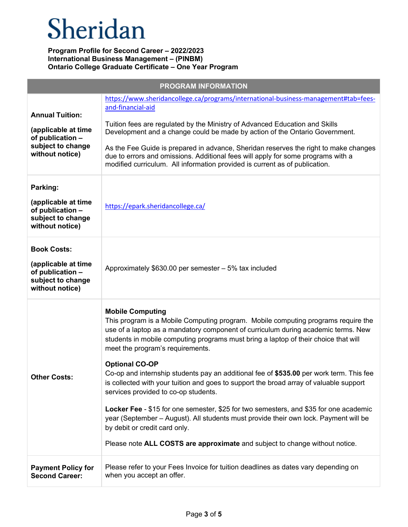| <b>PROGRAM INFORMATION</b>                                                                                |                                                                                                                                                                                                                                                                                                                                                                                                                                                                                                                                                                                                                                                                                                                                                                                                                                                                                     |  |
|-----------------------------------------------------------------------------------------------------------|-------------------------------------------------------------------------------------------------------------------------------------------------------------------------------------------------------------------------------------------------------------------------------------------------------------------------------------------------------------------------------------------------------------------------------------------------------------------------------------------------------------------------------------------------------------------------------------------------------------------------------------------------------------------------------------------------------------------------------------------------------------------------------------------------------------------------------------------------------------------------------------|--|
| <b>Annual Tuition:</b><br>(applicable at time<br>of publication -<br>subject to change<br>without notice) | https://www.sheridancollege.ca/programs/international-business-management#tab=fees-<br>and-financial-aid<br>Tuition fees are regulated by the Ministry of Advanced Education and Skills<br>Development and a change could be made by action of the Ontario Government.<br>As the Fee Guide is prepared in advance, Sheridan reserves the right to make changes<br>due to errors and omissions. Additional fees will apply for some programs with a<br>modified curriculum. All information provided is current as of publication.                                                                                                                                                                                                                                                                                                                                                   |  |
| Parking:<br>(applicable at time<br>of publication -<br>subject to change<br>without notice)               | https://epark.sheridancollege.ca/                                                                                                                                                                                                                                                                                                                                                                                                                                                                                                                                                                                                                                                                                                                                                                                                                                                   |  |
| <b>Book Costs:</b><br>(applicable at time<br>of publication -<br>subject to change<br>without notice)     | Approximately \$630.00 per semester - 5% tax included                                                                                                                                                                                                                                                                                                                                                                                                                                                                                                                                                                                                                                                                                                                                                                                                                               |  |
| <b>Other Costs:</b>                                                                                       | <b>Mobile Computing</b><br>This program is a Mobile Computing program. Mobile computing programs require the<br>use of a laptop as a mandatory component of curriculum during academic terms. New<br>students in mobile computing programs must bring a laptop of their choice that will<br>meet the program's requirements.<br><b>Optional CO-OP</b><br>Co-op and internship students pay an additional fee of \$535.00 per work term. This fee<br>is collected with your tuition and goes to support the broad array of valuable support<br>services provided to co-op students.<br>Locker Fee - \$15 for one semester, \$25 for two semesters, and \$35 for one academic<br>year (September – August). All students must provide their own lock. Payment will be<br>by debit or credit card only.<br>Please note ALL COSTS are approximate and subject to change without notice. |  |
| <b>Payment Policy for</b><br><b>Second Career:</b>                                                        | Please refer to your Fees Invoice for tuition deadlines as dates vary depending on<br>when you accept an offer.                                                                                                                                                                                                                                                                                                                                                                                                                                                                                                                                                                                                                                                                                                                                                                     |  |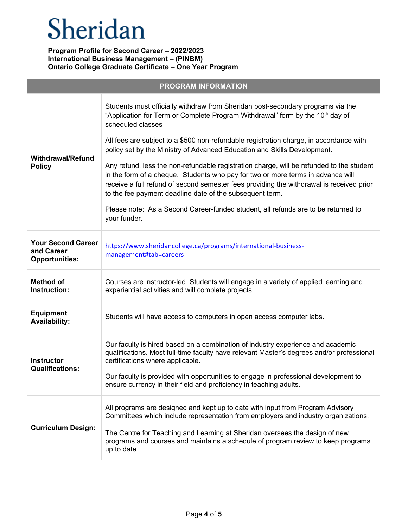| <b>PROGRAM INFORMATION</b>                                       |                                                                                                                                                                                                                                                                                                                                                        |  |
|------------------------------------------------------------------|--------------------------------------------------------------------------------------------------------------------------------------------------------------------------------------------------------------------------------------------------------------------------------------------------------------------------------------------------------|--|
| <b>Withdrawal/Refund</b><br><b>Policy</b>                        | Students must officially withdraw from Sheridan post-secondary programs via the<br>"Application for Term or Complete Program Withdrawal" form by the 10 <sup>th</sup> day of<br>scheduled classes                                                                                                                                                      |  |
|                                                                  | All fees are subject to a \$500 non-refundable registration charge, in accordance with<br>policy set by the Ministry of Advanced Education and Skills Development.                                                                                                                                                                                     |  |
|                                                                  | Any refund, less the non-refundable registration charge, will be refunded to the student<br>in the form of a cheque. Students who pay for two or more terms in advance will<br>receive a full refund of second semester fees providing the withdrawal is received prior<br>to the fee payment deadline date of the subsequent term.                    |  |
|                                                                  | Please note: As a Second Career-funded student, all refunds are to be returned to<br>your funder.                                                                                                                                                                                                                                                      |  |
| <b>Your Second Career</b><br>and Career<br><b>Opportunities:</b> | https://www.sheridancollege.ca/programs/international-business-<br>management#tab=careers                                                                                                                                                                                                                                                              |  |
| <b>Method of</b><br>Instruction:                                 | Courses are instructor-led. Students will engage in a variety of applied learning and<br>experiential activities and will complete projects.                                                                                                                                                                                                           |  |
| <b>Equipment</b><br><b>Availability:</b>                         | Students will have access to computers in open access computer labs.                                                                                                                                                                                                                                                                                   |  |
| <b>Instructor</b><br><b>Qualifications:</b>                      | Our faculty is hired based on a combination of industry experience and academic<br>qualifications. Most full-time faculty have relevant Master's degrees and/or professional<br>certifications where applicable.<br>Our faculty is provided with opportunities to engage in professional development to                                                |  |
|                                                                  | ensure currency in their field and proficiency in teaching adults.                                                                                                                                                                                                                                                                                     |  |
| <b>Curriculum Design:</b>                                        | All programs are designed and kept up to date with input from Program Advisory<br>Committees which include representation from employers and industry organizations.<br>The Centre for Teaching and Learning at Sheridan oversees the design of new<br>programs and courses and maintains a schedule of program review to keep programs<br>up to date. |  |